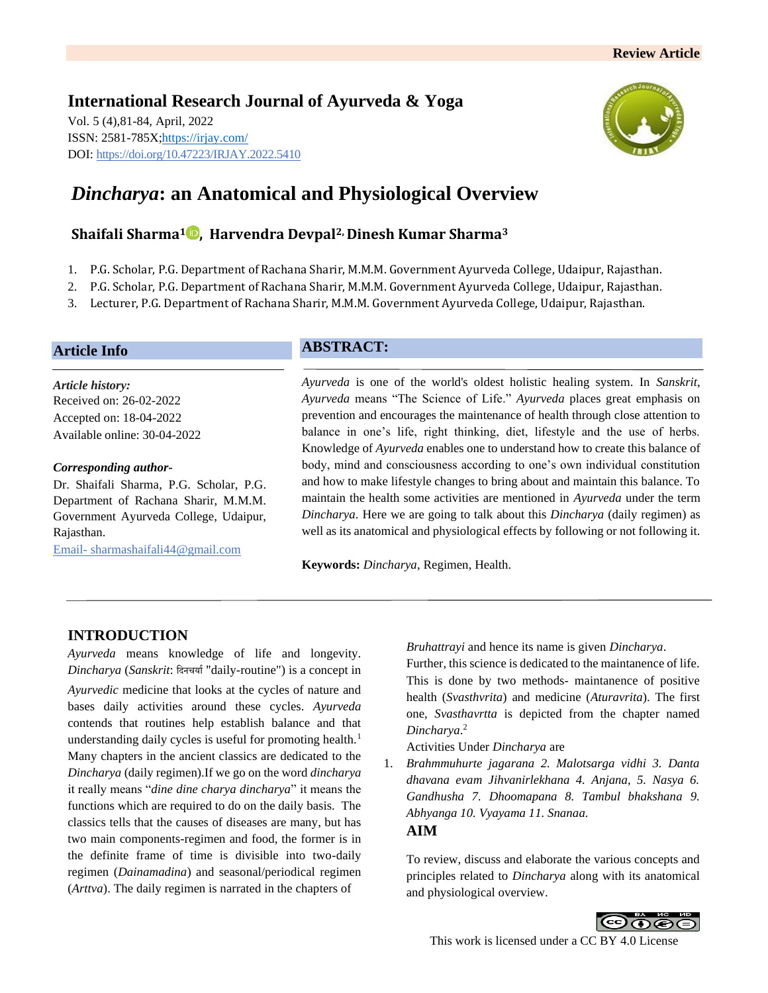

# *Dincharya***: an Anatomical and Physiological Overview**

# **Shaifali Sharma<sup>1</sup> , Harvendra Devpal2, Dinesh Kumar Sharma<sup>3</sup>**

- 1. P.G. Scholar, P.G. Department of Rachana Sharir, M.M.M. Government Ayurveda College, Udaipur, Rajasthan.
- 2. P.G. Scholar, P.G. Department of Rachana Sharir, M.M.M. Government Ayurveda College, Udaipur, Rajasthan.
- 3. Lecturer, P.G. Department of Rachana Sharir, M.M.M. Government Ayurveda College, Udaipur, Rajasthan.

## **Article Info**

*Article history:* Received on: 26-02-2022 Accepted on: 18-04-2022 Available online: 30-04-2022

#### *Corresponding author-*

Dr. Shaifali Sharma, P.G. Scholar, P.G. Department of Rachana Sharir, M.M.M. Government Ayurveda College, Udaipur, Rajasthan.

Email- sharmashaifali44@gmail.com

# **ABSTRACT:**

*Ayurveda* is one of the world's oldest holistic healing system. In *Sanskrit*, *Ayurveda* means "The Science of Life." *Ayurveda* places great emphasis on prevention and encourages the maintenance of health through close attention to balance in one's life, right thinking, diet, lifestyle and the use of herbs. Knowledge of *Ayurveda* enables one to understand how to create this balance of body, mind and consciousness according to one's own individual constitution and how to make lifestyle changes to bring about and maintain this balance. To maintain the health some activities are mentioned in *Ayurveda* under the term *Dincharya*. Here we are going to talk about this *Dincharya* (daily regimen) as well as its anatomical and physiological effects by following or not following it.

**Keywords:** *Dincharya*, Regimen, Health.

# **INTRODUCTION**

*Ayurveda* means knowledge of life and longevity. *Dincharya* (*Sanskrit*: दिनचर्या"daily-routine") is a concept in *Ayurvedic* medicine that looks at the cycles of nature and bases daily activities around these cycles. *Ayurveda* contends that routines help establish balance and that understanding daily cycles is useful for promoting health.<sup>1</sup> Many chapters in the ancient classics are dedicated to the *Dincharya* (daily regimen).If we go on the word *dincharya* it really means "*dine dine charya dincharya*" it means the functions which are required to do on the daily basis. The classics tells that the causes of diseases are many, but has two main components-regimen and food, the former is in the definite frame of time is divisible into two-daily regimen (*Dainamadina*) and seasonal/periodical regimen (*Arttva*). The daily regimen is narrated in the chapters of

*Bruhattrayi* and hence its name is given *Dincharya*.

Further, this science is dedicated to the maintanence of life. This is done by two methods- maintanence of positive health (*Svasthvrita*) and medicine (*Aturavrita*). The first one, *Svasthavrtta* is depicted from the chapter named *Dincharya*. 2

Activities Under *Dincharya* are

1. *Brahmmuhurte jagarana 2. Malotsarga vidhi 3. Danta dhavana evam Jihvanirlekhana 4. Anjana, 5. Nasya 6. Gandhusha 7. Dhoomapana 8. Tambul bhakshana 9. Abhyanga 10. Vyayama 11. Snanaa.*

**AIM**

To review, discuss and elaborate the various concepts and principles related to *Dincharya* along with its anatomical and physiological overview.

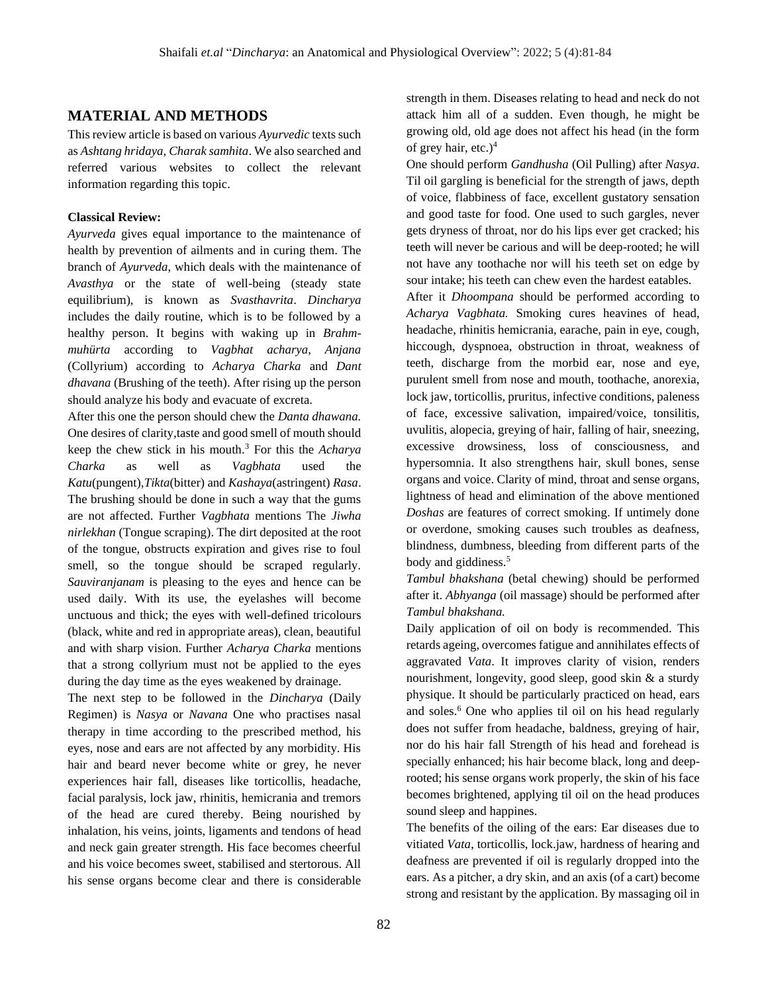## **MATERIAL AND METHODS**

This review article is based on various *Ayurvedic* texts such as *Ashtang hridaya*, *Charak samhita*. We also searched and referred various websites to collect the relevant information regarding this topic.

#### **Classical Review:**

*Ayurveda* gives equal importance to the maintenance of health by prevention of ailments and in curing them. The branch of *Ayurveda*, which deals with the maintenance of *Avasthya* or the state of well-being (steady state equilibrium), is known as *Svasthavrita*. *Dincharya* includes the daily routine, which is to be followed by a healthy person. It begins with waking up in *Brahmmuhürta* according to *Vagbhat acharya, Anjana* (Collyrium) according to *Acharya Charka* and *Dant dhavana* (Brushing of the teeth). After rising up the person should analyze his body and evacuate of excreta.

After this one the person should chew the *Danta dhawana.* One desires of clarity,taste and good smell of mouth should keep the chew stick in his mouth.<sup>3</sup> For this the *Acharya Charka* as well as *Vagbhata* used the *Katu*(pungent),*Tikta*(bitter) and *Kashaya*(astringent) *Rasa*. The brushing should be done in such a way that the gums are not affected. Further *Vagbhata* mentions The *Jiwha nirlekhan* (Tongue scraping). The dirt deposited at the root of the tongue, obstructs expiration and gives rise to foul smell, so the tongue should be scraped regularly. *Sauviranjanam* is pleasing to the eyes and hence can be used daily. With its use, the eyelashes will become unctuous and thick; the eyes with well-defined tricolours (black, white and red in appropriate areas), clean, beautiful and with sharp vision. Further *Acharya Charka* mentions that a strong collyrium must not be applied to the eyes during the day time as the eyes weakened by drainage.

The next step to be followed in the *Dincharya* (Daily Regimen) is *Nasya* or *Navana* One who practises nasal therapy in time according to the prescribed method, his eyes, nose and ears are not affected by any morbidity. His hair and beard never become white or grey, he never experiences hair fall, diseases like torticollis, headache, facial paralysis, lock jaw, rhinitis, hemicrania and tremors of the head are cured thereby. Being nourished by inhalation, his veins, joints, ligaments and tendons of head and neck gain greater strength. His face becomes cheerful and his voice becomes sweet, stabilised and stertorous. All his sense organs become clear and there is considerable strength in them. Diseases relating to head and neck do not attack him all of a sudden. Even though, he might be growing old, old age does not affect his head (in the form of grey hair, etc.) $4$ 

One should perform *Gandhusha* (Oil Pulling) after *Nasya*. Til oil gargling is beneficial for the strength of jaws, depth of voice, flabbiness of face, excellent gustatory sensation and good taste for food. One used to such gargles, never gets dryness of throat, nor do his lips ever get cracked; his teeth will never be carious and will be deep-rooted; he will not have any toothache nor will his teeth set on edge by sour intake; his teeth can chew even the hardest eatables.

After it *Dhoompana* should be performed according to *Acharya Vagbhata.* Smoking cures heavines of head, headache, rhinitis hemicrania, earache, pain in eye, cough, hiccough, dyspnoea, obstruction in throat, weakness of teeth, discharge from the morbid ear, nose and eye, purulent smell from nose and mouth, toothache, anorexia, lock jaw, torticollis, pruritus, infective conditions, paleness of face, excessive salivation, impaired/voice, tonsilitis, uvulitis, alopecia, greying of hair, falling of hair, sneezing, excessive drowsiness, loss of consciousness, and hypersomnia. It also strengthens hair, skull bones, sense organs and voice. Clarity of mind, throat and sense organs, lightness of head and elimination of the above mentioned *Doshas* are features of correct smoking. If untimely done or overdone, smoking causes such troubles as deafness, blindness, dumbness, bleeding from different parts of the body and giddiness.<sup>5</sup>

*Tambul bhakshana* (betal chewing) should be performed after it. *Abhyanga* (oil massage) should be performed after *Tambul bhakshana.*

Daily application of oil on body is recommended. This retards ageing, overcomes fatigue and annihilates effects of aggravated *Vata*. It improves clarity of vision, renders nourishment, longevity, good sleep, good skin & a sturdy physique. It should be particularly practiced on head, ears and soles.<sup>6</sup> One who applies til oil on his head regularly does not suffer from headache, baldness, greying of hair, nor do his hair fall Strength of his head and forehead is specially enhanced; his hair become black, long and deeprooted; his sense organs work properly, the skin of his face becomes brightened, applying til oil on the head produces sound sleep and happines.

The benefits of the oiling of the ears: Ear diseases due to vitiated *Vata*, torticollis, lock.jaw, hardness of hearing and deafness are prevented if oil is regularly dropped into the ears. As a pitcher, a dry skin, and an axis (of a cart) become strong and resistant by the application. By massaging oil in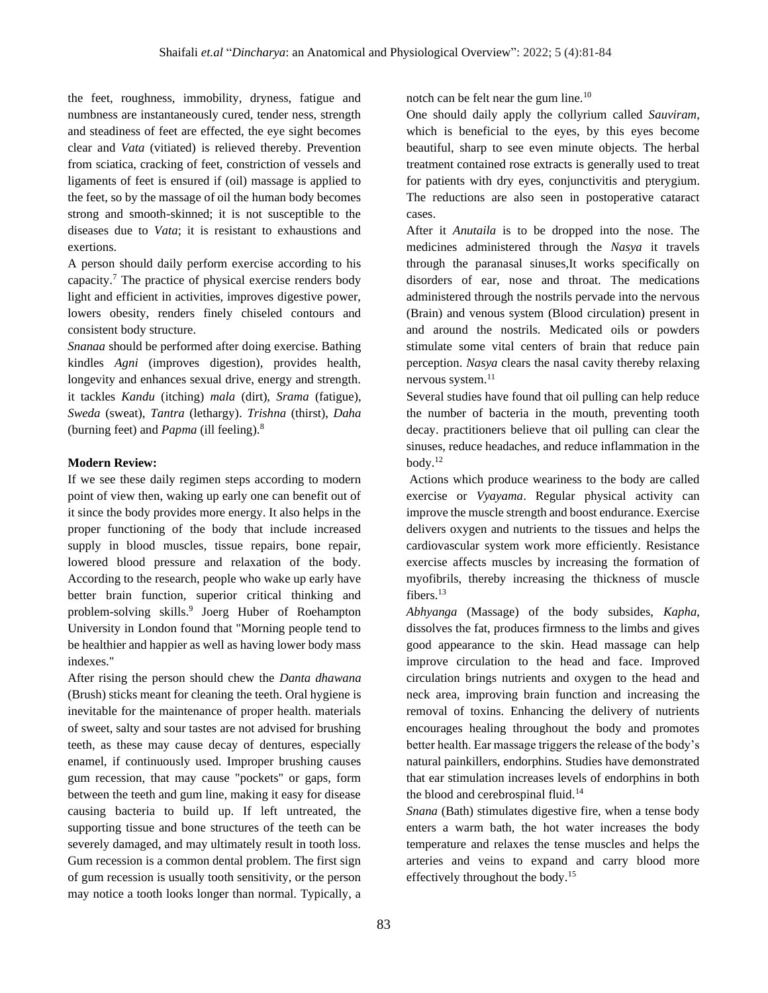the feet, roughness, immobility, dryness, fatigue and numbness are instantaneously cured, tender ness, strength and steadiness of feet are effected, the eye sight becomes clear and *Vata* (vitiated) is relieved thereby. Prevention from sciatica, cracking of feet, constriction of vessels and ligaments of feet is ensured if (oil) massage is applied to the feet, so by the massage of oil the human body becomes strong and smooth-skinned; it is not susceptible to the diseases due to *Vata*; it is resistant to exhaustions and exertions.

A person should daily perform exercise according to his capacity.<sup>7</sup> The practice of physical exercise renders body light and efficient in activities, improves digestive power, lowers obesity, renders finely chiseled contours and consistent body structure.

*Snanaa* should be performed after doing exercise. Bathing kindles *Agni* (improves digestion), provides health, longevity and enhances sexual drive, energy and strength. it tackles *Kandu* (itching) *mala* (dirt), *Srama* (fatigue), *Sweda* (sweat), *Tantra* (lethargy). *Trishna* (thirst), *Daha* (burning feet) and *Papma* (ill feeling).<sup>8</sup>

#### **Modern Review:**

If we see these daily regimen steps according to modern point of view then, waking up early one can benefit out of it since the body provides more energy. It also helps in the proper functioning of the body that include increased supply in blood muscles, tissue repairs, bone repair, lowered blood pressure and relaxation of the body. According to the research, people who wake up early have better brain function, superior critical thinking and problem-solving skills.<sup>9</sup> Joerg Huber of Roehampton University in London found that "Morning people tend to be healthier and happier as well as having lower body mass indexes."

After rising the person should chew the *Danta dhawana* (Brush) sticks meant for cleaning the teeth. Oral hygiene is inevitable for the maintenance of proper health. materials of sweet, salty and sour tastes are not advised for brushing teeth, as these may cause decay of dentures, especially enamel, if continuously used. Improper brushing causes gum recession, that may cause "pockets" or gaps, form between the teeth and gum line, making it easy for disease causing bacteria to build up. If left untreated, the supporting tissue and bone structures of the teeth can be severely damaged, and may ultimately result in tooth loss. Gum recession is a common dental problem. The first sign of gum recession is usually tooth sensitivity, or the person may notice a tooth looks longer than normal. Typically, a

notch can be felt near the gum line.<sup>10</sup>

One should daily apply the collyrium called *Sauviram*, which is beneficial to the eyes, by this eyes become beautiful, sharp to see even minute objects. The herbal treatment contained rose extracts is generally used to treat for patients with dry eyes, conjunctivitis and pterygium. The reductions are also seen in postoperative cataract cases.

After it *Anutaila* is to be dropped into the nose. The medicines administered through the *Nasya* it travels through the paranasal sinuses,It works specifically on disorders of ear, nose and throat. The medications administered through the nostrils pervade into the nervous (Brain) and venous system (Blood circulation) present in and around the nostrils. Medicated oils or powders stimulate some vital centers of brain that reduce pain perception. *Nasya* clears the nasal cavity thereby relaxing nervous system.<sup>11</sup>

Several studies have found that oil pulling can help reduce the number of bacteria in the mouth, preventing tooth decay. practitioners believe that oil pulling can clear the sinuses, reduce headaches, and reduce inflammation in the body.<sup>12</sup>

Actions which produce weariness to the body are called exercise or *Vyayama*. Regular physical activity can improve the muscle strength and boost endurance. Exercise delivers oxygen and nutrients to the tissues and helps the cardiovascular system work more efficiently. Resistance exercise affects muscles by increasing the formation of myofibrils, thereby increasing the thickness of muscle fibers.<sup>13</sup>

*Abhyanga* (Massage) of the body subsides, *Kapha*, dissolves the fat, produces firmness to the limbs and gives good appearance to the skin. Head massage can help improve circulation to the head and face. Improved circulation brings nutrients and oxygen to the head and neck area, improving brain function and increasing the removal of toxins. Enhancing the delivery of nutrients encourages healing throughout the body and promotes better health. Ear massage triggers the release of the body's natural painkillers, endorphins. Studies have demonstrated that ear stimulation increases levels of endorphins in both the blood and cerebrospinal fluid.<sup>14</sup>

*Snana* (Bath) stimulates digestive fire, when a tense body enters a warm bath, the hot water increases the body temperature and relaxes the tense muscles and helps the arteries and veins to expand and carry blood more effectively throughout the body.15